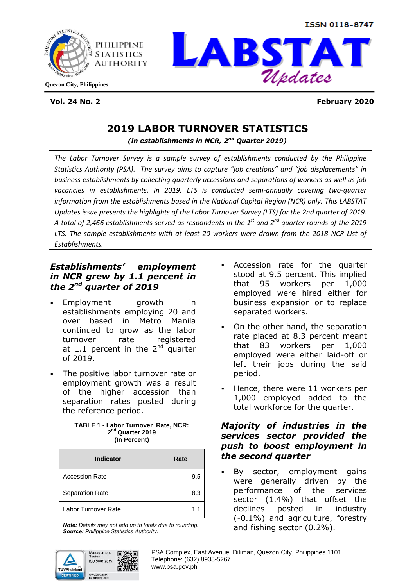ISSN 0118-8747





**Vol. 24 No. 2 February 2020**

# **2019 LABOR TURNOVER STATISTICS**

*(in establishments in NCR, 2nd Quarter 2019)*

*The Labor Turnover Survey is a sample survey of establishments conducted by the Philippine Statistics Authority (PSA). The survey aims to capture "job creations" and "job displacements" in business establishments by collecting quarterly accessions and separations of workers as well as job vacancies in establishments. In 2019, LTS is conducted semi-annually covering two-quarter information from the establishments based in the National Capital Region (NCR) only. This LABSTAT Updates issue presents the highlights of the Labor Turnover Survey (LTS) for the 2nd quarter of 2019. A total of 2,466 establishments served as respondents in the 1st and 2nd quarter rounds of the 2019 LTS. The sample establishments with at least 20 workers were drawn from the 2018 NCR List of Establishments.*

## *Establishments' employment in NCR grew by 1.1 percent in the 2nd quarter of 2019*

- Employment growth in establishments employing 20 and over based in Metro Manila continued to grow as the labor turnover rate registered at 1.1 percent in the  $2<sup>nd</sup>$  quarter of 2019.
- The positive labor turnover rate or employment growth was a result of the higher accession than separation rates posted during the reference period.

#### **TABLE 1 - Labor Turnover Rate, NCR: 2 nd Quarter 2019 (In Percent)**

| <b>Indicator</b>       | Rate |
|------------------------|------|
| <b>Accession Rate</b>  | 9.5  |
| <b>Separation Rate</b> | 8.3  |
| Labor Turnover Rate    | 11   |

*Note: Details may not add up to totals due to rounding. Source: Philippine Statistics Authority.*



- Accession rate for the quarter stood at 9.5 percent. This implied that 95 workers per 1,000 employed were hired either for business expansion or to replace separated workers.
- On the other hand, the separation rate placed at 8.3 percent meant that 83 workers per 1,000 employed were either laid-off or left their jobs during the said period.
- Hence, there were 11 workers per 1,000 employed added to the total workforce for the quarter.

## *Majority of industries in the services sector provided the push to boost employment in the second quarter*

 By sector, employment gains were generally driven by the performance of the services sector (1.4%) that offset the declines posted in industry (-0.1%) and agriculture, forestry and fishing sector (0.2%).

 PSA Complex, East Avenue, Diliman, Quezon City, Philippines 1101 Telephone: (632) 8938-5267 www.psa.gov.ph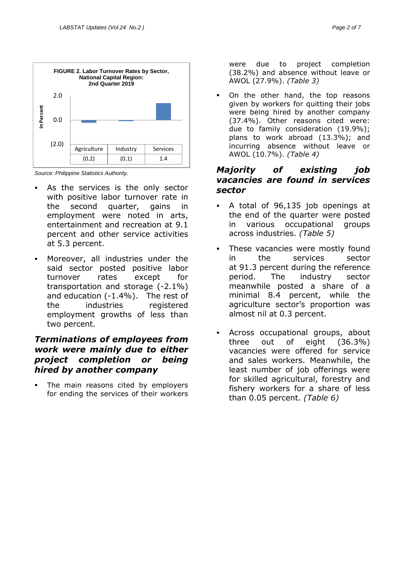



*Source: Philippine Statistics Authority.*

- As the services is the only sector with positive labor turnover rate in the second quarter, gains in employment were noted in arts, entertainment and recreation at 9.1 percent and other service activities at 5.3 percent.
- Moreover, all industries under the said sector posted positive labor turnover rates except for transportation and storage (-2.1%) and education (-1.4%). The rest of the industries registered employment growths of less than two percent.

### *Terminations of employees from work were mainly due to either project completion or being hired by another company*

 The main reasons cited by employers for ending the services of their workers

were due to project completion (38.2%) and absence without leave or AWOL (27.9%). *(Table 3)*

 On the other hand, the top reasons given by workers for quitting their jobs were being hired by another company (37.4%). Other reasons cited were: due to family consideration (19.9%); plans to work abroad (13.3%); and incurring absence without leave or AWOL (10.7%). *(Table 4)*

## *Majority of existing job vacancies are found in services sector*

- A total of 96,135 job openings at the end of the quarter were posted in various occupational groups across industries. *(Table 5)*
- These vacancies were mostly found in the services sector at 91.3 percent during the reference period. The industry sector meanwhile posted a share of a minimal 8.4 percent, while the agriculture sector's proportion was almost nil at 0.3 percent.
- Across occupational groups, about three out of eight (36.3%) vacancies were offered for service and sales workers. Meanwhile, the least number of job offerings were for skilled agricultural, forestry and fishery workers for a share of less than 0.05 percent. *(Table 6)*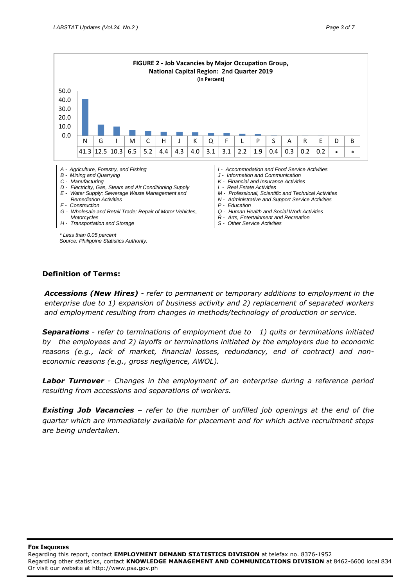

*\* Less than 0.05 percent*

*Source: Philippine Statistics Authority.*

### **Definition of Terms:**

*Accessions (New Hires) - refer to permanent or temporary additions to employment in the enterprise due to 1) expansion of business activity and 2) replacement of separated workers and employment resulting from changes in methods/technology of production or service.*

*Separations - refer to terminations of employment due to 1) quits or terminations initiated by the employees and 2) layoffs or terminations initiated by the employers due to economic reasons (e.g., lack of market, financial losses, redundancy, end of contract) and noneconomic reasons (e.g., gross negligence, AWOL).*

*Labor Turnover - Changes in the employment of an enterprise during a reference period resulting from accessions and separations of workers.*

*Existing Job Vacancies* – *refer to the number of unfilled job openings at the end of the quarter which are immediately available for placement and for which active recruitment steps are being undertaken.*

#### **FOR INQUIRIES**

Regarding this report, contact **EMPLOYMENT DEMAND STATISTICS DIVISION** at telefax no. 8376-1952 Regarding other statistics, contact **KNOWLEDGE MANAGEMENT AND COMMUNICATIONS DIVISION** at 8462-6600 local 834 Or visit our website at http://www.psa.gov.ph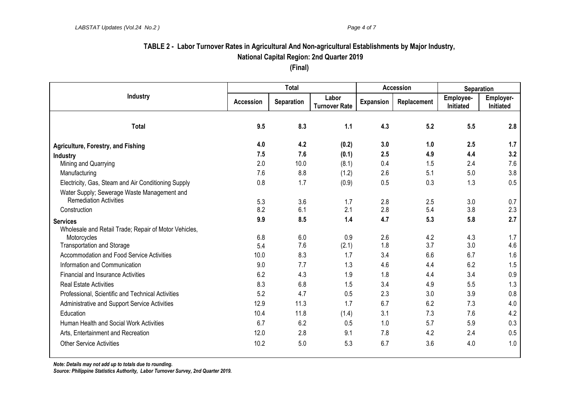# **TABLE 2 - Labor Turnover Rates in Agricultural And Non-agricultural Establishments by Major Industry, National Capital Region: 2nd Quarter 2019**

**(Final)**

|                                                                                              | <b>Total</b>     |                   |                               | <b>Accession</b> |             | Separation                    |                        |
|----------------------------------------------------------------------------------------------|------------------|-------------------|-------------------------------|------------------|-------------|-------------------------------|------------------------|
| Industry                                                                                     | <b>Accession</b> | <b>Separation</b> | Labor<br><b>Turnover Rate</b> | <b>Expansion</b> | Replacement | Employee-<br><b>Initiated</b> | Employer-<br>Initiated |
| <b>Total</b>                                                                                 | 9.5              | 8.3               | 1.1                           | 4.3              | 5.2         | 5.5                           | 2.8                    |
| Agriculture, Forestry, and Fishing                                                           | 4.0              | 4.2               | (0.2)                         | 3.0              | 1.0         | 2.5                           | 1.7                    |
| Industry                                                                                     | 7.5              | 7.6               | (0.1)                         | 2.5              | 4.9         | 4.4                           | 3.2                    |
| Mining and Quarrying                                                                         | 2.0              | 10.0              | (8.1)                         | 0.4              | 1.5         | 2.4                           | 7.6                    |
| Manufacturing                                                                                | 7.6              | 8.8               | (1.2)                         | 2.6              | 5.1         | 5.0                           | 3.8                    |
| Electricity, Gas, Steam and Air Conditioning Supply                                          | 0.8              | 1.7               | (0.9)                         | 0.5              | 0.3         | 1.3                           | 0.5                    |
| Water Supply; Sewerage Waste Management and<br><b>Remediation Activities</b><br>Construction | 5.3<br>8.2       | 3.6<br>6.1        | 1.7<br>2.1                    | 2.8<br>2.8       | 2.5<br>5.4  | 3.0<br>3.8                    | 0.7<br>2.3             |
| <b>Services</b>                                                                              | 9.9              | 8.5               | 1.4                           | 4.7              | 5.3         | 5.8                           | 2.7                    |
| Wholesale and Retail Trade; Repair of Motor Vehicles,                                        |                  |                   |                               |                  |             |                               |                        |
| Motorcycles                                                                                  | 6.8              | 6.0               | 0.9                           | 2.6              | 4.2         | 4.3                           | 1.7                    |
| <b>Transportation and Storage</b>                                                            | 5.4              | 7.6               | (2.1)                         | 1.8              | 3.7         | 3.0                           | 4.6                    |
| Accommodation and Food Service Activities                                                    | 10.0             | 8.3               | 1.7                           | 3.4              | 6.6         | 6.7                           | 1.6                    |
| Information and Communication                                                                | 9.0              | 7.7               | 1.3                           | 4.6              | 4.4         | 6.2                           | 1.5                    |
| <b>Financial and Insurance Activities</b>                                                    | 6.2              | 4.3               | 1.9                           | 1.8              | 4.4         | 3.4                           | 0.9                    |
| <b>Real Estate Activities</b>                                                                | 8.3              | 6.8               | 1.5                           | 3.4              | 4.9         | 5.5                           | 1.3                    |
| Professional, Scientific and Technical Activities                                            | 5.2              | 4.7               | 0.5                           | 2.3              | 3.0         | 3.9                           | 0.8                    |
| Administrative and Support Service Activities                                                | 12.9             | 11.3              | 1.7                           | 6.7              | 6.2         | 7.3                           | 4.0                    |
| Education                                                                                    | 10.4             | 11.8              | (1.4)                         | 3.1              | 7.3         | 7.6                           | 4.2                    |
| Human Health and Social Work Activities                                                      | 6.7              | 6.2               | 0.5                           | 1.0              | 5.7         | 5.9                           | 0.3                    |
| Arts, Entertainment and Recreation                                                           | 12.0             | 2.8               | 9.1                           | 7.8              | 4.2         | 2.4                           | 0.5                    |
| <b>Other Service Activities</b>                                                              | 10.2             | 5.0               | 5.3                           | 6.7              | 3.6         | 4.0                           | 1.0                    |

*Note: Details may not add up to totals due to rounding.*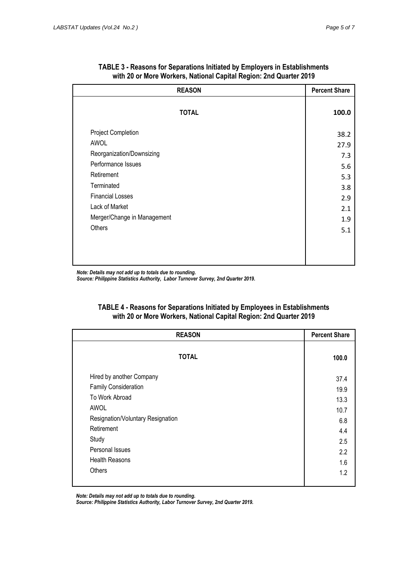| <b>REASON</b>               | <b>Percent Share</b> |
|-----------------------------|----------------------|
| <b>TOTAL</b>                | 100.0                |
| Project Completion          | 38.2                 |
| AWOL                        | 27.9                 |
| Reorganization/Downsizing   | 7.3                  |
| Performance Issues          | 5.6                  |
| Retirement                  | 5.3                  |
| Terminated                  | 3.8                  |
| <b>Financial Losses</b>     | 2.9                  |
| Lack of Market              | 2.1                  |
| Merger/Change in Management | 1.9                  |
| Others                      | 5.1                  |
|                             |                      |
|                             |                      |
|                             |                      |

| TABLE 3 - Reasons for Separations Initiated by Employers in Establishments |
|----------------------------------------------------------------------------|
| with 20 or More Workers, National Capital Region: 2nd Quarter 2019         |

*Note: Details may not add up to totals due to rounding.*

*Source: Philippine Statistics Authority, Labor Turnover Survey, 2nd Quarter 2019.*

| TABLE 4 - Reasons for Separations Initiated by Employees in Establishments |
|----------------------------------------------------------------------------|
| with 20 or More Workers, National Capital Region: 2nd Quarter 2019         |
|                                                                            |

| <b>REASON</b>                     | <b>Percent Share</b> |  |
|-----------------------------------|----------------------|--|
| <b>TOTAL</b>                      | 100.0                |  |
| Hired by another Company          | 37.4                 |  |
| <b>Family Consideration</b>       | 19.9                 |  |
| To Work Abroad                    | 13.3                 |  |
| AWOL                              | 10.7                 |  |
| Resignation/Voluntary Resignation | 6.8                  |  |
| Retirement                        | 4.4                  |  |
| Study                             | 2.5                  |  |
| Personal Issues                   | 2.2                  |  |
| <b>Health Reasons</b>             | 1.6                  |  |
| Others                            | 1.2                  |  |

*Note: Details may not add up to totals due to rounding.*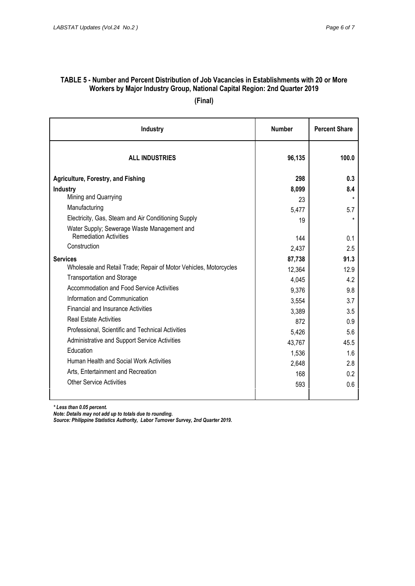### **TABLE 5 - Number and Percent Distribution of Job Vacancies in Establishments with 20 or More Workers by Major Industry Group, National Capital Region: 2nd Quarter 2019 (Final)**

| <b>Industry</b>                                                   | <b>Number</b> | <b>Percent Share</b> |  |
|-------------------------------------------------------------------|---------------|----------------------|--|
| <b>ALL INDUSTRIES</b>                                             | 96,135        | 100.0                |  |
| <b>Agriculture, Forestry, and Fishing</b>                         | 298           | 0.3                  |  |
| <b>Industry</b>                                                   | 8,099         | 8.4                  |  |
| Mining and Quarrying                                              | 23            | $\star$              |  |
| Manufacturing                                                     | 5,477         | 5.7                  |  |
| Electricity, Gas, Steam and Air Conditioning Supply               | 19            | $\star$              |  |
| Water Supply; Sewerage Waste Management and                       |               |                      |  |
| <b>Remediation Activities</b>                                     | 144           | 0.1                  |  |
| Construction                                                      | 2,437         | 2.5                  |  |
| <b>Services</b>                                                   | 87,738        | 91.3                 |  |
| Wholesale and Retail Trade; Repair of Motor Vehicles, Motorcycles | 12,364        | 12.9                 |  |
| <b>Transportation and Storage</b>                                 | 4,045         | 4.2                  |  |
| <b>Accommodation and Food Service Activities</b>                  | 9,376         | 9.8                  |  |
| Information and Communication                                     | 3,554         | 3.7                  |  |
| <b>Financial and Insurance Activities</b>                         | 3,389         | 3.5                  |  |
| <b>Real Estate Activities</b>                                     | 872           | 0.9                  |  |
| Professional, Scientific and Technical Activities                 | 5,426         | 5.6                  |  |
| Administrative and Support Service Activities                     | 43,767        | 45.5                 |  |
| Education                                                         | 1,536         | 1.6                  |  |
| Human Health and Social Work Activities                           | 2,648         | 2.8                  |  |
| Arts, Entertainment and Recreation                                | 168           | 0.2                  |  |
| Other Service Activities                                          | 593           | 0.6                  |  |
|                                                                   |               |                      |  |

*\* Less than 0.05 percent.*

*Note: Details may not add up to totals due to rounding.*